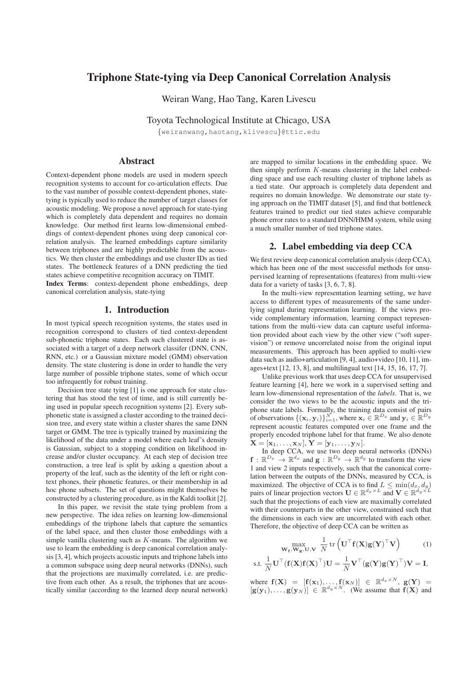# Triphone State-tying via Deep Canonical Correlation Analysis

Weiran Wang, Hao Tang, Karen Livescu

Toyota Technological Institute at Chicago, USA {weiranwang,haotang,klivescu}@ttic.edu

Abstract

Context-dependent phone models are used in modern speech recognition systems to account for co-articulation effects. Due to the vast number of possible context-dependent phones, statetying is typically used to reduce the number of target classes for acoustic modeling. We propose a novel approach for state-tying which is completely data dependent and requires no domain knowledge. Our method first learns low-dimensional embeddings of context-dependent phones using deep canonical correlation analysis. The learned embeddings capture similarity between triphones and are highly predictable from the acoustics. We then cluster the embeddings and use cluster IDs as tied states. The bottleneck features of a DNN predicting the tied states achieve competitive recognition accuracy on TIMIT.

Index Terms: context-dependent phone embeddings, deep canonical correlation analysis, state-tying

## 1. Introduction

In most typical speech recognition systems, the states used in recognition correspond to clusters of tied context-dependent sub-phonetic triphone states. Each such clustered state is associated with a target of a deep network classifer (DNN, CNN, RNN, etc.) or a Gaussian mixture model (GMM) observation density. The state clustering is done in order to handle the very large number of possible triphone states, some of which occur too infrequently for robust training.

Decision tree state tying [1] is one approach for state clustering that has stood the test of time, and is still currently being used in popular speech recognition systems [2]. Every subphonetic state is assigned a cluster according to the trained decision tree, and every state within a cluster shares the same DNN target or GMM. The tree is typically trained by maximizing the likelihood of the data under a model where each leaf's density is Gaussian, subject to a stopping condition on likelihood increase and/or cluster occupancy. At each step of decision tree construction, a tree leaf is split by asking a question about a property of the leaf, such as the identity of the left or right context phones, their phonetic features, or their membership in ad hoc phone subsets. The set of questions might themselves be constructed by a clustering procedure, as in the Kaldi toolkit [2].

In this paper, we revisit the state tying problem from a new perspective. The idea relies on learning low-dimensional embeddings of the triphone labels that capture the semantics of the label space, and then cluster those embeddings with a simple vanilla clustering such as  $K$ -means. The algorithm we use to learn the embedding is deep canonical correlation analysis [3, 4], which projects acoustic inputs and triphone labels into a common subspace using deep neural networks (DNNs), such that the projections are maximally correlated, i.e. are predictive from each other. As a result, the triphones that are acoustically similar (according to the learned deep neural network)

are mapped to similar locations in the embedding space. We then simply perform  $K$ -means clustering in the label embedding space and use each resulting cluster of triphone labels as a tied state. Our approach is completely data dependent and requires no domain knowledge. We demonstrate our state tying approach on the TIMIT dataset [5], and find that bottleneck features trained to predict our tied states achieve comparable phone error rates to a standard DNN/HMM system, while using a much smaller number of tied triphone states.

## 2. Label embedding via deep CCA

We first review deep canonical correlation analysis (deep CCA), which has been one of the most successful methods for unsupervised learning of representations (features) from multi-view data for a variety of tasks [3, 6, 7, 8].

In the multi-view representation learning setting, we have access to different types of measurements of the same underlying signal during representation learning. If the views provide complementary information, learning compact representations from the multi-view data can capture useful information provided about each view by the other view ("soft supervision") or remove uncorrelated noise from the original input measurements. This approach has been applied to multi-view data such as audio+articulation [9, 4], audio+video [10, 11], images+text [12, 13, 8], and multilingual text [14, 15, 16, 17, 7].

Unlike previous work that uses deep CCA for unsupervised feature learning [4], here we work in a supervised setting and learn low-dimensional representation of the *labels*. That is, we consider the two views to be the acoustic inputs and the triphone state labels. Formally, the training data consist of pairs of observations  $\{(\mathbf{x}_i, \mathbf{y}_i)\}_{i=1}^N$ , where  $\mathbf{x}_i \in \mathbb{R}^{D_x}$  and  $\mathbf{y}_i \in \mathbb{R}^{D_y}$ represent acoustic features computed over one frame and the properly encoded triphone label for that frame. We also denote  $\mathbf{\tilde{X}} = [\mathbf{x}_1, \dots, \mathbf{x}_N], \mathbf{Y} = [\mathbf{y}_1, \dots, \mathbf{y}_N].$ 

In deep CCA, we use two deep neural networks (DNNs)  $\mathbf{f}: \mathbb{R}^{D_x} \to \mathbb{R}^{d_x}$  and  $\mathbf{g}: \mathbb{R}^{D_y} \to \mathbb{R}^{d_y}$  to transform the view 1 and view 2 inputs respectively, such that the canonical correlation between the outputs of the DNNs, measured by CCA, is maximized. The objective of CCA is to find  $L \le \min(d_x, d_y)$ pairs of linear projection vectors  $\mathbf{U} \in \mathbb{R}^{d_x \times L}$  and  $\mathbf{V} \in \mathbb{R}^{d_y \times L}$ such that the projections of each view are maximally correlated with their counterparts in the other view, constrained such that the dimensions in each view are uncorrelated with each other. Therefore, the objective of deep CCA can be written as

$$
\max_{\mathbf{W_f}, \mathbf{W_g}, \mathbf{U}, \mathbf{V}} \frac{1}{N} \operatorname{tr} \left( \mathbf{U}^{\top} \mathbf{f}(\mathbf{X}) \mathbf{g}(\mathbf{Y})^{\top} \mathbf{V} \right) \tag{1}
$$

s.t. 
$$
\frac{1}{N} \mathbf{U}^\top (\mathbf{f}(\mathbf{X})\mathbf{f}(\mathbf{X})^\top) \mathbf{U} = \frac{1}{N} \mathbf{V}^\top (\mathbf{g}(\mathbf{Y})\mathbf{g}(\mathbf{Y})^\top) \mathbf{V} = \mathbf{I},
$$

where  $f(X) = [f(x_1), \ldots, f(x_N)] \in \mathbb{R}^{d_x \times N}$ ,  $g(Y) =$  $[g(y_1), \ldots, g(y_N)] \in \mathbb{R}^{d_y \times N}$ . (We assume that  $f(X)$  and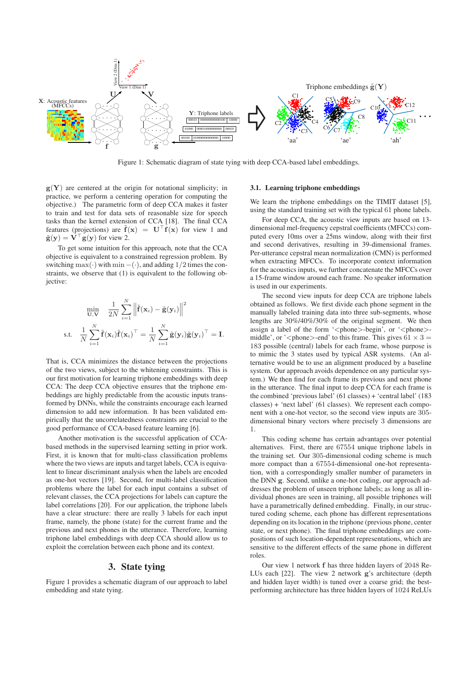

Figure 1: Schematic diagram of state tying with deep CCA-based label embeddings.

 $g(Y)$  are centered at the origin for notational simplicity; in practice, we perform a centering operation for computing the objective.) The parametric form of deep CCA makes it faster to train and test for data sets of reasonable size for speech tasks than the kernel extension of CCA [18]. The final CCA features (projections) are  $\tilde{f}(x) = U^{\top} f(x)$  for view 1 and  $\tilde{\mathbf{g}}(\mathbf{y}) = \mathbf{V}^\top \mathbf{g}(\mathbf{y})$  for view 2.

To get some intuition for this approach, note that the CCA objective is equivalent to a constrained regression problem. By switching max(·) with min –(·), and adding  $1/2$  times the constraints, we observe that (1) is equivalent to the following objective:

$$
\min_{\mathbf{U}, \mathbf{V}} \quad \frac{1}{2N} \sum_{i=1}^N \left\| \tilde{\mathbf{f}}(\mathbf{x}_i) - \tilde{\mathbf{g}}(\mathbf{y}_i) \right\|^2
$$
\ns.t. 
$$
\frac{1}{N} \sum_{i=1}^N \tilde{\mathbf{f}}(\mathbf{x}_i) \tilde{\mathbf{f}}(\mathbf{x}_i)^\top = \frac{1}{N} \sum_{i=1}^N \tilde{\mathbf{g}}(\mathbf{y}_i) \tilde{\mathbf{g}}(\mathbf{y}_i)^\top = \mathbf{I}.
$$

That is, CCA minimizes the distance between the projections of the two views, subject to the whitening constraints. This is our first motivation for learning triphone embeddings with deep CCA: The deep CCA objective ensures that the triphone embeddings are highly predictable from the acoustic inputs transformed by DNNs, while the constraints encourage each learned dimension to add new information. It has been validated empirically that the uncorrelatedness constraints are crucial to the good performance of CCA-based feature learning [6].

Another motivation is the successful application of CCAbased methods in the supervised learning setting in prior work. First, it is known that for multi-class classification problems where the two views are inputs and target labels, CCA is equivalent to linear discriminant analysis when the labels are encoded as one-hot vectors [19]. Second, for multi-label classification problems where the label for each input contains a subset of relevant classes, the CCA projections for labels can capture the label correlations [20]. For our application, the triphone labels have a clear structure: there are really 3 labels for each input frame, namely, the phone (state) for the current frame and the previous and next phones in the utterance. Therefore, learning triphone label embeddings with deep CCA should allow us to exploit the correlation between each phone and its context.

## 3. State tying

Figure 1 provides a schematic diagram of our approach to label embedding and state tying.

#### 3.1. Learning triphone embeddings

We learn the triphone embeddings on the TIMIT dataset [5], using the standard training set with the typical 61 phone labels.

For deep CCA, the acoustic view inputs are based on 13 dimensional mel-frequency cepstral coefficients (MFCCs) computed every 10ms over a 25ms window, along with their first and second derivatives, resulting in 39-dimensional frames. Per-utterance cepstral mean normalization (CMN) is performed when extracting MFCCs. To incorporate context information for the acoustics inputs, we further concatenate the MFCCs over a 15-frame window around each frame. No speaker information is used in our experiments.

The second view inputs for deep CCA are triphone labels obtained as follows. We first divide each phone segment in the manually labeled training data into three sub-segments, whose lengths are 30%/40%/30% of the original segment. We then assign a label of the form '<phone>-begin', or '<phone>middle', or '<phone>-end' to this frame. This gives  $61 \times 3 =$ 183 possible (central) labels for each frame, whose purpose is to mimic the 3 states used by typical ASR systems. (An alternative would be to use an alignment produced by a baseline system. Our approach avoids dependence on any particular system.) We then find for each frame its previous and next phone in the utterance. The final input to deep CCA for each frame is the combined 'previous label' (61 classes) + 'central label' (183 classes) + 'next label' (61 classes). We represent each component with a one-hot vector, so the second view inputs are 305 dimensional binary vectors where precisely 3 dimensions are 1.

This coding scheme has certain advantages over potential alternatives. First, there are 67554 unique triphone labels in the training set. Our 305-dimensional coding scheme is much more compact than a 67554-dimensional one-hot representation, with a correspondingly smaller number of parameters in the DNN g. Second, unlike a one-hot coding, our approach addresses the problem of unseen triphone labels; as long as all individual phones are seen in training, all possible triphones will have a parametrically defined embedding. Finally, in our structured coding scheme, each phone has different representations depending on its location in the triphone (previous phone, center state, or next phone). The final triphone embeddings are compositions of such location-dependent representations, which are sensitive to the different effects of the same phone in different roles.

Our view 1 network f has three hidden layers of 2048 Re-LUs each [22]. The view 2 network g's architecture (depth and hidden layer width) is tuned over a coarse grid; the bestperforming architecture has three hidden layers of 1024 ReLUs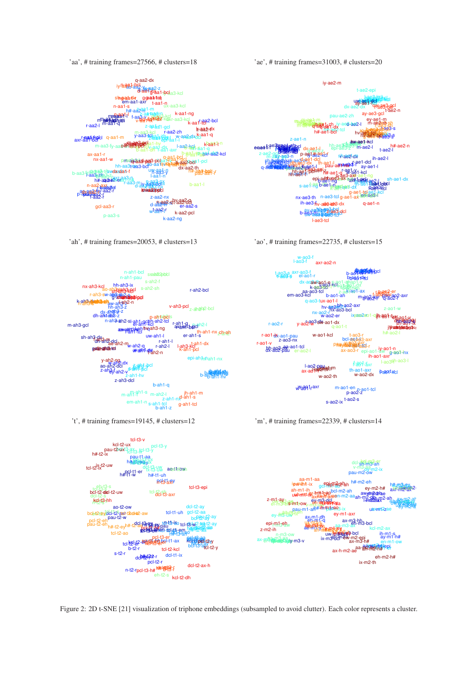'aa', # training frames=27566, # clusters=18



'ah', # training frames=20053, # clusters=13

'ae', # training frames=31003, # clusters=20



'ao', # training frames=22735, # clusters=15



't', # training frames=19145, # clusters=12



Figure 2: 2D t-SNE [21] visualization of triphone embeddings (subsampled to avoid clutter). Each color represents a cluster.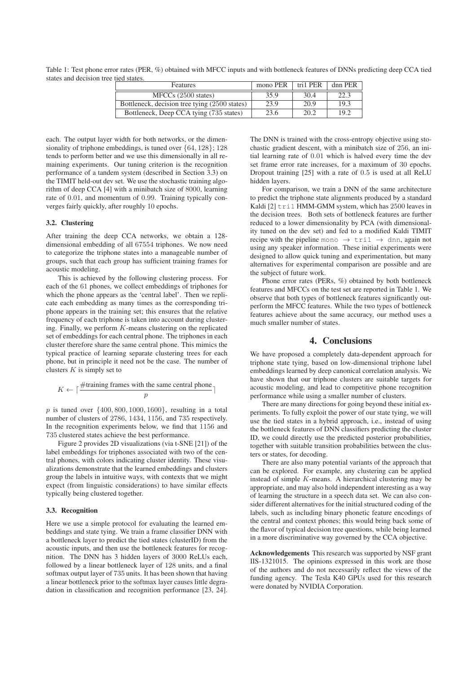Table 1: Test phone error rates (PER, %) obtained with MFCC inputs and with bottleneck features of DNNs predicting deep CCA tied states and decision tree tied states.

| <b>Features</b>                               | mono PER | tri1 PER | dnn PER |
|-----------------------------------------------|----------|----------|---------|
| MFCCs (2500 states)                           | 35.9     | 30.4     | 22.3    |
| Bottleneck, decision tree tying (2500 states) | 23.9     | 20.9     | 19.3    |
| Bottleneck, Deep CCA tying (735 states)       | 23.6     | 20.2     | 19.2    |

each. The output layer width for both networks, or the dimensionality of triphone embeddings, is tuned over {64, 128}; 128 tends to perform better and we use this dimensionally in all remaining experiments. Our tuning criterion is the recognition performance of a tandem system (described in Section 3.3) on the TIMIT held-out dev set. We use the stochastic training algorithm of deep CCA [4] with a minibatch size of 8000, learning rate of 0.01, and momentum of 0.99. Training typically converges fairly quickly, after roughly 10 epochs.

#### 3.2. Clustering

After training the deep CCA networks, we obtain a 128 dimensional embedding of all 67554 triphones. We now need to categorize the triphone states into a manageable number of groups, such that each group has sufficient training frames for acoustic modeling.

This is achieved by the following clustering process. For each of the 61 phones, we collect embeddings of triphones for which the phone appears as the 'central label'. Then we replicate each embedding as many times as the corresponding triphone appears in the training set; this ensures that the relative frequency of each triphone is taken into account during clustering. Finally, we perform  $K$ -means clustering on the replicated set of embeddings for each central phone. The triphones in each cluster therefore share the same central phone. This mimics the typical practice of learning separate clustering trees for each phone, but in principle it need not be the case. The number of clusters  $K$  is simply set to

$$
K \leftarrow \lceil \frac{\# \text{training frames with the same central phone}}{p} \rceil
$$

 $p$  is tuned over  $\{400, 800, 1000, 1600\}$ , resulting in a total number of clusters of 2786, 1434, 1156, and 735 respectively. In the recognition experiments below, we find that 1156 and 735 clustered states achieve the best performance.

Figure 2 provides 2D visualizations (via t-SNE [21]) of the label embeddings for triphones associated with two of the central phones, with colors indicating cluster identity. These visualizations demonstrate that the learned embeddings and clusters group the labels in intuitive ways, with contexts that we might expect (from linguistic considerations) to have similar effects typically being clustered together.

#### 3.3. Recognition

Here we use a simple protocol for evaluating the learned embeddings and state tying. We train a frame classifier DNN with a bottleneck layer to predict the tied states (clusterID) from the acoustic inputs, and then use the bottleneck features for recognition. The DNN has 3 hidden layers of 3000 ReLUs each, followed by a linear bottleneck layer of 128 units, and a final softmax output layer of 735 units. It has been shown that having a linear bottleneck prior to the softmax layer causes little degradation in classification and recognition performance [23, 24]. The DNN is trained with the cross-entropy objective using stochastic gradient descent, with a minibatch size of 256, an initial learning rate of 0.01 which is halved every time the dev set frame error rate increases, for a maximum of 30 epochs. Dropout training [25] with a rate of 0.5 is used at all ReLU hidden layers.

For comparison, we train a DNN of the same architecture to predict the triphone state alignments produced by a standard Kaldi [2] tri1 HMM-GMM system, which has 2500 leaves in the decision trees. Both sets of bottleneck features are further reduced to a lower dimensionality by PCA (with dimensionality tuned on the dev set) and fed to a modified Kaldi TIMIT recipe with the pipeline mono  $\rightarrow$  tril  $\rightarrow$  dnn, again not using any speaker information. These initial experiments were designed to allow quick tuning and experimentation, but many alternatives for experimental comparison are possible and are the subject of future work.

Phone error rates (PERs, %) obtained by both bottleneck features and MFCCs on the test set are reported in Table 1. We observe that both types of bottleneck features significantly outperform the MFCC features. While the two types of bottleneck features achieve about the same accuracy, our method uses a much smaller number of states.

#### 4. Conclusions

We have proposed a completely data-dependent approach for triphone state tying, based on low-dimensional triphone label embeddings learned by deep canonical correlation analysis. We have shown that our triphone clusters are suitable targets for acoustic modeling, and lead to competitive phone recognition performance while using a smaller number of clusters.

There are many directions for going beyond these initial experiments. To fully exploit the power of our state tying, we will use the tied states in a hybrid approach, i.e., instead of using the bottleneck features of DNN classifiers predicting the cluster ID, we could directly use the predicted posterior probabilities, together with suitable transition probabilities between the clusters or states, for decoding.

There are also many potential variants of the approach that can be explored. For example, any clustering can be applied instead of simple  $K$ -means. A hierarchical clustering may be appropriate, and may also hold independent interesting as a way of learning the structure in a speech data set. We can also consider different alternatives for the initial structured coding of the labels, such as including binary phonetic feature encodings of the central and context phones; this would bring back some of the flavor of typical decision tree questions, while being learned in a more discriminative way governed by the CCA objective.

Acknowledgements This research was supported by NSF grant IIS-1321015. The opinions expressed in this work are those of the authors and do not necessarily reflect the views of the funding agency. The Tesla K40 GPUs used for this research were donated by NVIDIA Corporation.